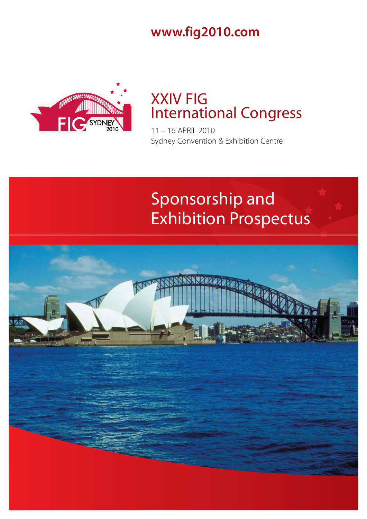**www.fig2010.com**



# XXIV FIG International Congress

11 – 16 APRIL 2010 Sydney Convention & Exhibition Centre

# Sponsorship and Exhibition Prospectus

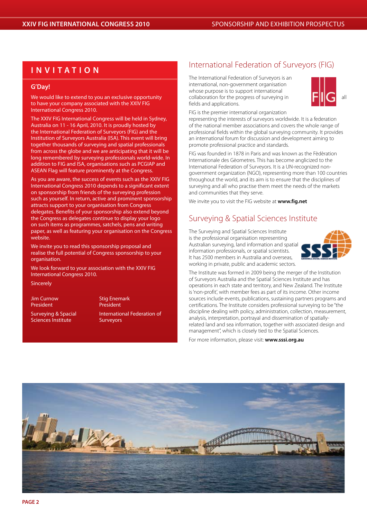# **I n vi t a t i o n**

#### **G'Day!**

We would like to extend to you an exclusive opportunity to have your company associated with the XXIV FIG International Congress 2010.

The XXIV FIG International Congress will be held in Sydney, Australia on 11 - 16 April, 2010. It is proudly hosted by the International Federation of Surveyors (FIG) and the Institution of Surveyors Australia (ISA). This event will bring together thousands of surveying and spatial professionals from across the globe and we are anticipating that it will be long remembered by surveying professionals world-wide. In addition to FIG and ISA, organisations such as PCGIAP and ASEAN Flag will feature prominently at the Congress.

As you are aware, the success of events such as the XXIV FIG International Congress 2010 depends to a significant extent on sponsorship from friends of the surveying profession such as yourself. In return, active and prominent sponsorship attracts support to your organisation from Congress delegates. Benefits of your sponsorship also extend beyond the Congress as delegates continue to display your logo on such items as programmes, satchels, pens and writing paper, as well as featuring your organisation on the Congress website.

We invite you to read this sponsorship proposal and realise the full potential of Congress sponsorship to your organisation.

We look forward to your association with the XXIV FIG International Congress 2010.

Sincerely

President President

Sciences Institute **Surveyors** 

Jim Curnow Stig Enemark Surveying & Spacial International Federation of

# International Federation of Surveyors (FIG)

The International Federation of Surveyors is an international, non-government organisation whose purpose is to support international collaboration for the progress of surveying in  $\Box$ fields and applications.



FIG is the premier international organization

representing the interests of surveyors worldwide. It is a federation of the national member associations and covers the whole range of professional fields within the global surveying community. It provides an international forum for discussion and development aiming to promote professional practice and standards.

FIG was founded in 1878 in Paris and was known as the Fèdèration Internationale des Gèometres. This has become anglicized to the International Federation of Surveyors. It is a UN-recognized nongovernment organization (NGO), representing more than 100 countries throughout the world, and its aim is to ensure that the disciplines of surveying and all who practise them meet the needs of the markets and communities that they serve.

We invite you to visit the FIG website at **www.fig.net**

# Surveying & Spatial Sciences Institute

The Surveying and Spatial Sciences Institute is the professional organisation representing Australian surveying, land information and spatial information professionals, or spatial scientists. It has 2500 members in Australia and overseas, working in private, public and academic sectors.



The Institute was formed in 2009 being the merger of the Institution of Surveyors Australia and the Spatial Sciences Institute and has operations in each state and territory, and New Zealand. The Institute is 'non-profit', with member fees as part of its income. Other income sources include events, publications, sustaining partners programs and certifications. The Institute considers professional surveying to be "the discipline dealing with policy, administration, collection, measurement, analysis, interpretation, portrayal and dissemination of spatiallyrelated land and sea information, together with associated design and management", which is closely tied to the Spatial Sciences.

For more information, please visit: **www.sssi.org.au**

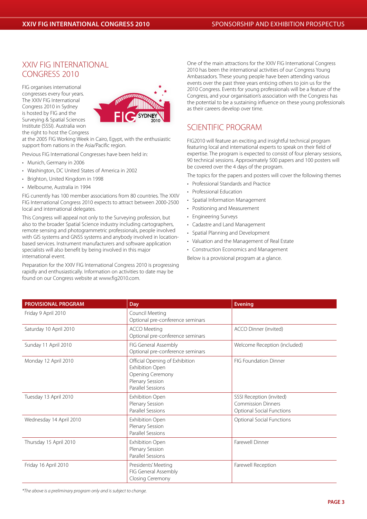# XXIV FIG INTERNATIONAL CONGRESS 2010

FIG organises international congresses every four years. The XXIV FIG International Congress 2010 in Sydney is hosted by FIG and the Surveying & Spatial Sciences Institute (SSSI). Australia won the right to host the Congress



at the 2005 FIG Working Week in Cairo, Egypt, with the enthusiastic support from nations in the Asia/Pacific region.

Previous FIG International Congresses have been held in:

- Munich, Germany in 2006
- • Washington, DC United States of America in 2002
- Brighton, United Kingdom in 1998
- Melbourne, Australia in 1994

FIG currently has 100 member associations from 80 countries. The XXIV FIG International Congress 2010 expects to attract between 2000-2500 local and international delegates.

This Congress will appeal not only to the Surveying profession, but also to the broader Spatial Science industry including cartographers, remote sensing and photogrammetric professionals, people involved with GIS systems and GNSS systems and anybody involved in locationbased services. Instrument manufacturers and software application specialists will also benefit by being involved in this major international event.

Preparation for the XXIV FIG International Congress 2010 is progressing rapidly and enthusiastically. Information on activities to date may be found on our Congress website at www.fig2010.com.

One of the main attractions for the XXIV FIG International Congress 2010 has been the international activities of our Congress Young Ambassadors. These young people have been attending various events over the past three years enticing others to join us for the 2010 Congress. Events for young professionals will be a feature of the Congress, and your organisation's association with the Congress has the potential to be a sustaining influence on these young professionals as their careers develop over time.

# SCIENTIFIC PROGRAM

FIG2010 will feature an exciting and insightful technical program featuring local and international experts to speak on their field of expertise. The program is expected to consist of four plenary sessions, 90 technical sessions. Approximately 500 papers and 100 posters will be covered over the 4 days of the program.

The topics for the papers and posters will cover the following themes

- • Professional Standards and Practice
- • Professional Education
- Spatial Information Management
- • Positioning and Measurement
- • Engineering Surveys
- • Cadastre and Land Management
- • Spatial Planning and Development
- • Valuation and the Management of Real Estate
- • Construction Economics and Management

Below is a provisional program at a glance.

| <b>PROVISIONAL PROGRAM</b> | <b>Day</b>                                                                                                    | <b>Evening</b>                                                                            |
|----------------------------|---------------------------------------------------------------------------------------------------------------|-------------------------------------------------------------------------------------------|
| Friday 9 April 2010        | Council Meeting<br>Optional pre-conference seminars                                                           |                                                                                           |
| Saturday 10 April 2010     | <b>ACCO Meeting</b><br>Optional pre-conference seminars                                                       | ACCO Dinner (invited)                                                                     |
| Sunday 11 April 2010       | FIG General Assembly<br>Optional pre-conference seminars                                                      | Welcome Reception (included)                                                              |
| Monday 12 April 2010       | Official Opening of Exhibition<br>Exhibition Open<br>Opening Ceremony<br>Plenary Session<br>Parallel Sessions | <b>FIG Foundation Dinner</b>                                                              |
| Tuesday 13 April 2010      | Exhibition Open<br>Plenary Session<br>Parallel Sessions                                                       | SSSI Reception (invited)<br><b>Commission Dinners</b><br><b>Optional Social Functions</b> |
| Wednesday 14 April 2010    | Exhibition Open<br>Plenary Session<br>Parallel Sessions                                                       | <b>Optional Social Functions</b>                                                          |
| Thursday 15 April 2010     | <b>Exhibition Open</b><br>Plenary Session<br>Parallel Sessions                                                | Farewell Dinner                                                                           |
| Friday 16 April 2010       | Presidents' Meeting<br>FIG General Assembly<br>Closing Ceremony                                               | Farewell Reception                                                                        |

*\*The above is a preliminary program only and is subject to change.*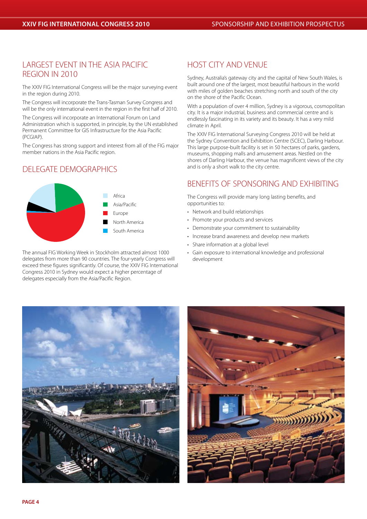# LARGEST EVENT IN THE ASIA PACIFIC REGION IN 2010

The XXIV FIG International Congress will be the major surveying event in the region during 2010.

The Congress will incorporate the Trans-Tasman Survey Congress and will be the only international event in the region in the first half of 2010.

The Congress will incorporate an International Forum on Land Administration which is supported, in principle, by the UN established Permanent Committee for GIS Infrastructure for the Asia Pacific (PCGIAP).

The Congress has strong support and interest from all of the FIG major member nations in the Asia Pacific region.

# DELEGATE DEMOGRAPHICS



The annual FIG Working Week in Stockholm attracted almost 1000 delegates from more than 90 countries. The four-yearly Congress will exceed these figures significantly. Of course, the XXIV FIG International Congress 2010 in Sydney would expect a higher percentage of delegates especially from the Asia/Pacific Region.

# HOST CITY AND VENUE

Sydney, Australia's gateway city and the capital of New South Wales, is built around one of the largest, most beautiful harbours in the world with miles of golden beaches stretching north and south of the city on the shore of the Pacific Ocean.

With a population of over 4 million, Sydney is a vigorous, cosmopolitan city. It is a major industrial, business and commercial centre and is endlessly fascinating in its variety and its beauty. It has a very mild climate in April.

The XXIV FIG International Surveying Congress 2010 will be held at the Sydney Convention and Exhibition Centre (SCEC), Darling Harbour. This large purpose-built facility is set in 50 hectares of parks, gardens, museums, shopping malls and amusement areas. Nestled on the shores of Darling Harbour, the venue has magnificent views of the city and is only a short walk to the city centre.

# BENEFITS OF SPONSORING AND EXHIBITING

The Congress will provide many long lasting benefits, and opportunities to:

- Network and build relationships
- Promote your products and services
- Demonstrate your commitment to sustainability
- Increase brand awareness and develop new markets
- Share information at a global level
- • Gain exposure to international knowledge and professional development



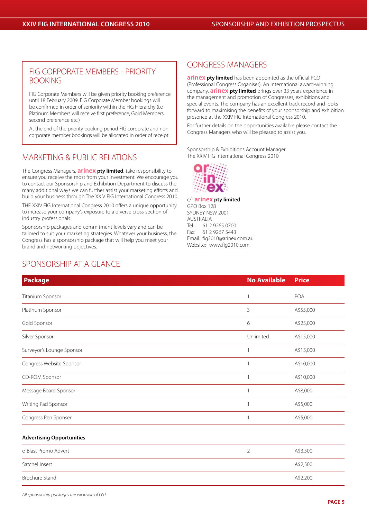# FIG CORPORATE MEMBERS - PRIORITY BOOKING

FIG Corporate Members will be given priority booking preference until 18 February 2009. FIG Corporate Member bookings will be confirmed in order of seniority within the FIG Hierarchy (i.e Platinum Members will receive first preference, Gold Members second preference etc.)

At the end of the priority booking period FIG corporate and noncorporate member bookings will be allocated in order of receipt.

# MARKETING & PUBLIC RELATIONS

The Congress Managers, **arinex pty limited**, take responsibility to ensure you receive the most from your investment. We encourage you to contact our Sponsorship and Exhibition Department to discuss the many additional ways we can further assist your marketing efforts and build your business through The XXIV FIG International Congress 2010.

THE XXIV FIG International Congress 2010 offers a unique opportunity to increase your company's exposure to a diverse cross-section of industry professionals.

Sponsorship packages and commitment levels vary and can be tailored to suit your marketing strategies. Whatever your business, the Congress has a sponsorship package that will help you meet your brand and networking objectives.

# SPONSORSHIP AT A GLANCE

# CONGRESS MANAGERS

**arinex pty limited** has been appointed as the official PCO (Professional Congress Organiser). An international award-winning company, **arinex pty limited** brings over 33 years experience in the management and promotion of Congresses, exhibitions and special events. The company has an excellent track record and looks forward to maximising the benefits of your sponsorship and exhibition presence at the XXIV FIG International Congress 2010.

For further details on the opportunities available please contact the Congress Managers who will be pleased to assist you.

Sponsorship & Exhibitions Account Manager The XXIV FIG International Congress 2010



c/- **arinex pty limited** GPO Box 128 SYDNEY NSW 2001 AUSTRALIA<br>Tel· 61.2 Tel: 61 2 9265 0700<br>Eax: 61 2 9267 5443 Fax: 61 2 9267 5443 Email: fig2010@arinex.com.au Website: www.fig2010.com

| <b>Package</b>                   | <b>No Available</b> | <b>Price</b>             |
|----------------------------------|---------------------|--------------------------|
| Titanium Sponsor                 | $\mathbf{1}$        | POA                      |
| Platinum Sponsor                 | 3                   | A\$55,000                |
| Gold Sponsor                     | 6                   | A\$25,000                |
| Silver Sponsor                   | Unlimited           | A\$15,000                |
| Surveyor's Lounge Sponsor        | 1                   | A\$15,000                |
| Congress Website Sponsor         | 1                   | A\$10,000                |
| CD-ROM Sponsor                   | $\mathbf{1}$        | A\$10,000                |
| Message Board Sponsor            | 1                   | A\$8,000                 |
| Writing Pad Sponsor              | 1                   | A\$5,000                 |
| Congress Pen Sponser             | 1                   | A\$5,000                 |
| <b>Advertising Opportunities</b> |                     |                          |
| e-Blast Promo Advert             | $\overline{2}$      | A\$3,500                 |
| Control of the control           |                     | $A \uparrow \cap \Gamma$ |

Satchel Insert A\$2,500 Brochure Stand A\$2,200

*All sponsorship packages are exclusive of GST*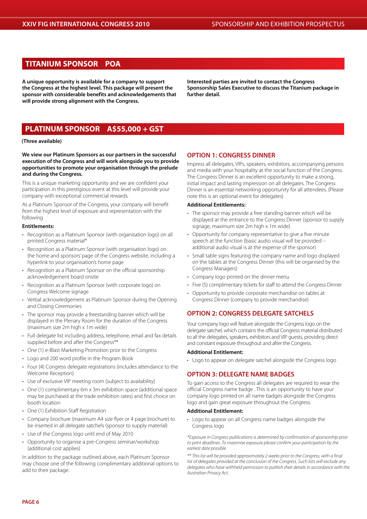### **TITANIUM SPONSOR POA**

**A unique opportunity is available for a company to support the Congress at the highest level. This package will present the sponsor with considerable benefits and acknowledgements that will provide strong alignment with the Congress.**

**Interested parties are invited to contact the Congress Sponsorship Sales Executive to discuss the Titanium package in further detail.**

# **PLATINUM SPONSOR A\$55,000 + GST**

#### **(Three available)**

**We view our Platinum Sponsors as our partners in the successful execution of the Congress and will work alongside you to provide opportunities to promote your organisation through the prelude and during the Congress.**

This is a unique marketing opportunity and we are confident your participation in this prestigious event at this level will provide your company with exceptional commercial rewards.

As a Platinum Sponsor of the Congress, your company will benefit from the highest level of exposure and representation with the following

#### **Entitlements:**

- Recognition as a Platinum Sponsor (with organisation logo) on all printed Congress material\*
- Recognition as a Platinum Sponsor (with organisation logo) on the home and sponsors' page of the Congress website, including a hyperlink to your organisation's home page
- Recognition as a Platinum Sponsor on the official sponsorship acknowledgement board onsite
- Recognition as a Platinum Sponsor (with corporate logo) on Congress Welcome signage
- Verbal acknowledgement as Platinum Sponsor during the Opening and Closing Ceremonies
- The sponsor may provide a freestanding banner which will be displayed in the Plenary Room for the duration of the Congress (maximum size 2m high x 1m wide)
- Full delegate list including address, telephone, email and fax details supplied before and after the Congress\*\*
- One (1) e-Blast Marketing Promotion prior to the Congress
- Logo and 200 word profile in the Program Book
- Four (4) Congress delegate registrations (includes attendance to the Welcome Reception)
- Use of exclusive VIP meeting room (subject to availability)
- One (1) complimentary 6m x 3m exhibition space (additional space may be purchased at the trade exhibition rates) and first choice on booth location
- One (1) Exhibition Staff Registration
- Company brochure (maximum A4 size flyer or 4 page brochure) to be inserted in all delegate satchels (sponsor to supply material)
- Use of the Congress logo until end of May 2010
- Opportunity to organise a pre-Congress seminar/workshop (additional cost applies)

In addition to the package outlined above, each Platinum Sponsor may choose one of the following complimentary additional options to add to their package.

#### **OPTION 1: CONGRESS DINNER**

Impress all delegates, VIPs, speakers, exhibitors, accompanying persons and media with your hospitality at the social function of the Congress. The Congress Dinner is an excellent opportunity to make a strong, initial impact and lasting impression on all delegates. The Congress Dinner is an essential networking opportunity for all attendees. (Please note this is an optional event for delegates)

#### **Additional Entitlements:**

- The sponsor may provide a free standing banner which will be displayed at the entrance to the Congress Dinner (sponsor to supply signage, maximum size 2m high x 1m wide)
- Opportunity for company representative to give a five minute speech at the function (basic audio visual will be provided – additional audio visual is at the expense of the sponsor)
- Small table signs featuring the company name and logo displayed on the tables at the Congress Dinner (this will be organised by the Congress Managers)
- Company logo printed on the dinner menu
- Five (5) complimentary tickets for staff to attend the Congress Dinner
- Opportunity to provide corporate merchandise on tables at Congress Dinner (company to provide merchandise)

#### **OPTION 2: CONGRESS DELEGATE SATCHELS**

Your company logo will feature alongside the Congress logo on the delegate satchel, which contains the official Congress material distributed to all the delegates, speakers, exhibitors and VIP guests, providing direct and constant exposure throughout and after the Congress.

#### **Additional Entitlement:**

• Logo to appear on delegate satchel alongside the Congress logo

#### **OPTION 3: DELEGATE NAME BADGES**

To gain access to the Congress all delegates are required to wear the official Congress name badge . This is an opportunity to have your company logo printed on all name badges alongside the Congress logo and gain great exposure throughout the Congress.

#### **Additional Entitlement:**

• Logo to appear on all Congress name badges alongside the Congress logo

*\*Exposure in Congress publications is determined by confirmation of sponsorship prior to print deadlines. To maximise exposure please confirm your participation by the earliest date possible.*

*\*\* This list will be provided approximately 2 weeks prior to the Congress, with a final list of delegates provided at the conclusion of the Congress. Such lists will exclude any delegates who have withheld permission to publish their details in accordance with the Australian Privacy Act.*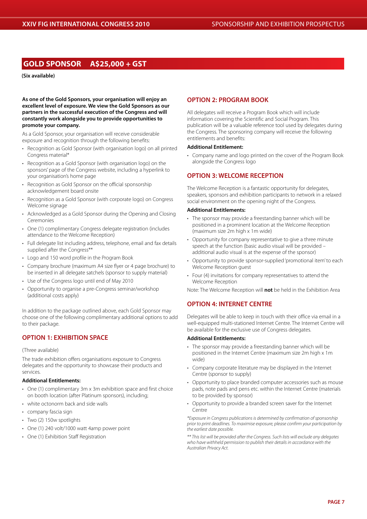### **GOLD SPONSOR A\$25,000 + GST**

#### **(Six available)**

**As one of the Gold Sponsors, your organisation will enjoy an excellent level of exposure. We view the Gold Sponsors as our partners in the successful execution of the Congress and will constantly work alongside you to provide opportunities to promote your company.**

As a Gold Sponsor, your organisation will receive considerable exposure and recognition through the following benefits:

- Recognition as Gold Sponsor (with organisation logo) on all printed Congress material\*
- Recognition as a Gold Sponsor (with organisation logo) on the sponsors' page of the Congress website, including a hyperlink to your organisation's home page
- Recognition as Gold Sponsor on the official sponsorship acknowledgement board onsite
- Recognition as a Gold Sponsor (with corporate logo) on Congress Welcome signage
- Acknowledged as a Gold Sponsor during the Opening and Closing Ceremonies
- One (1) complimentary Congress delegate registration (includes attendance to the Welcome Reception)
- Full delegate list including address, telephone, email and fax details supplied after the Congress\*\*
- Logo and 150 word profile in the Program Book
- Company brochure (maximum A4 size flyer or 4 page brochure) to be inserted in all delegate satchels (sponsor to supply material)
- Use of the Congress logo until end of May 2010
- Opportunity to organise a pre-Congress seminar/workshop (additional costs apply)

In addition to the package outlined above, each Gold Sponsor may choose one of the following complimentary additional options to add to their package.

#### **OPTION 1: EXHIBITION SPACE**

#### (Three available)

The trade exhibition offers organisations exposure to Congress delegates and the opportunity to showcase their products and services.

#### **Additional Entitlements:**

- One (1) complimentary 3m x 3m exhibition space and first choice on booth location (after Platinum sponsors), including;
- white octonorm back and side walls
- company fascia sign
- Two (2) 150w spotlights
- One (1) 240 volt/1000 watt 4amp power point
- One (1) Exhibition Staff Registration

#### **OPTION 2: PROGRAM BOOK**

All delegates will receive a Program Book which will include information covering the Scientific and Social Program. This publication will be a valuable reference tool used by delegates during the Congress. The sponsoring company will receive the following entitlements and benefits:

#### **Additional Entitlement:**

• Company name and logo printed on the cover of the Program Book alongside the Congress logo

#### **OPTION 3: WELCOME RECEPTION**

The Welcome Reception is a fantastic opportunity for delegates, speakers, sponsors and exhibition participants to network in a relaxed social environment on the opening night of the Congress.

#### **Additional Entitlements:**

- The sponsor may provide a freestanding banner which will be positioned in a prominent location at the Welcome Reception (maximum size 2m high x 1m wide)
- Opportunity for company representative to give a three minute speech at the function (basic audio visual will be provided – additional audio visual is at the expense of the sponsor)
- Opportunity to provide sponsor-supplied 'promotional item' to each Welcome Reception guest
- Four (4) invitations for company representatives to attend the Welcome Reception

Note: The Welcome Reception will **not** be held in the Exhibition Area

#### **OPTION 4: INTERNET CENTRE**

Delegates will be able to keep in touch with their office via email in a well-equipped multi-stationed Internet Centre. The Internet Centre will be available for the exclusive use of Congress delegates.

#### **Additional Entitlements:**

- The sponsor may provide a freestanding banner which will be positioned in the Internet Centre (maximum size 2m high x 1m wide)
- Company corporate literature may be displayed in the Internet Centre (sponsor to supply)
- Opportunity to place branded computer accessories such as mouse pads, note pads and pens etc. within the Internet Centre (materials to be provided by sponsor)
- Opportunity to provide a branded screen saver for the Internet Centre

*\*Exposure in Congress publications is determined by confirmation of sponsorship prior to print deadlines. To maximise exposure, please confirm your participation by the earliest date possible.*

*\*\* This list will be provided after the Congress. Such lists will exclude any delegates who have withheld permission to publish their details in accordance with the Australian Privacy Act.*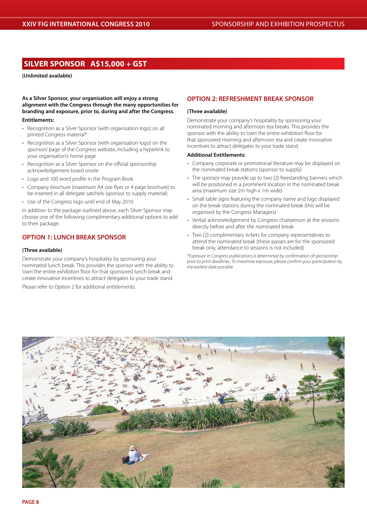# **SILVER SPONSOR A\$15,000 + GST**

**(Unlimited available)**

**As a Silver Sponsor, your organisation will enjoy a strong alignment with the Congress through the many opportunities for branding and exposure, prior to, during and after the Congress.**

#### **Entitlements:**

- Recognition as a Silver Sponsor (with organisation logo) on all printed Congress material\*
- Recognition as a Silver Sponsor (with organisation logo) on the sponsors' page of the Congress website, including a hyperlink to your organisation's home page
- Recognition as a Silver Sponsor on the official sponsorship acknowledgement board onsite
- Logo and 100 word profile in the Program Book
- • Company brochure (maximum A4 size flyer or 4 page brochure) to be inserted in all delegate satchels (sponsor to supply material)
- Use of the Congress logo until end of May 2010

In addition to the package outlined above, each Silver Sponsor may choose one of the following complimentary additional options to add to their package.

### **OPTION 1: LUNCH BREAK SPONSOR**

#### **(Three available)**

Demonstrate your company's hospitality by sponsoring your nominated lunch break. This provides the sponsor with the ability to 'own' the entire exhibition floor for that sponsored lunch break and create innovative incentives to attract delegates to your trade stand.

Please refer to Option 2 for additional entitlements.

#### **OPTION 2: REFRESHMENT BREAK SPONSOR**

#### **(Three available)**

Demonstrate your company's hospitality by sponsoring your nominated morning and afternoon tea breaks. This provides the sponsor with the ability to 'own' the entire exhibition floor for that sponsored morning and afternoon tea and create innovative incentives to attract delegates to your trade stand.

#### **Additional Entitlements:**

- Company corporate or promotional literature may be displayed on the nominated break stations (sponsor to supply)
- The sponsor may provide up to two (2) freestanding banners which will be positioned in a prominent location in the nominated break area (maximum size 2m high x 1m wide)
- Small table signs featuring the company name and logo displayed on the break stations during the nominated break (this will be organised by the Congress Managers)
- Verbal acknowledgement by Congress chairperson at the sessions directly before and after the nominated break
- Two (2) complimentary tickets for company representatives to attend the nominated break (these passes are for the sponsored break only, attendance to sessions is not included)

*\*Exposure in Congress publications is determined by confirmation of sponsorship prior to print deadlines. To maximise exposure, please confirm your participation by the earliest date possible.*

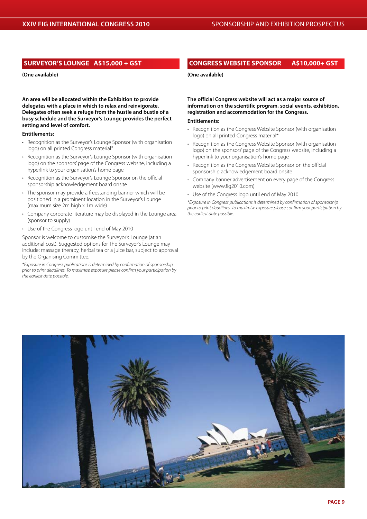#### **SURVEYOR'S LOUNGE A\$15,000 + GST**

**(One available)**

**An area will be allocated within the Exhibition to provide delegates with a place in which to relax and reinvigorate. Delegates often seek a refuge from the hustle and bustle of a busy schedule and the Surveyor's Lounge provides the perfect setting and level of comfort.** 

#### **Entitlements:**

- Recognition as the Surveyor's Lounge Sponsor (with organisation logo) on all printed Congress material\*
- Recognition as the Surveyor's Lounge Sponsor (with organisation logo) on the sponsors' page of the Congress website, including a hyperlink to your organisation's home page
- Recognition as the Surveyor's Lounge Sponsor on the official sponsorship acknowledgement board onsite
- The sponsor may provide a freestanding banner which will be positioned in a prominent location in the Surveyor's Lounge (maximum size 2m high x 1m wide)
- Company corporate literature may be displayed in the Lounge area (sponsor to supply)
- Use of the Congress logo until end of May 2010

Sponsor is welcome to customise the Surveyor's Lounge (at an additional cost). Suggested options for The Surveyor's Lounge may include; massage therapy, herbal tea or a juice bar, subject to approval by the Organising Committee.

*\*Exposure in Congress publications is determined by confirmation of sponsorship prior to print deadlines. To maximise exposure please confirm your participation by the earliest date possible.*

#### **CONGRESS WEBSITE SPONSOR A\$10,000+ GST**

**(One available)**

**The official Congress website will act as a major source of information on the scientific program, social events, exhibition, registration and accommodation for the Congress.**

#### **Entitlements:**

- Recognition as the Congress Website Sponsor (with organisation logo) on all printed Congress material\*
- Recognition as the Congress Website Sponsor (with organisation logo) on the sponsors' page of the Congress website, including a hyperlink to your organisation's home page
- Recognition as the Congress Website Sponsor on the official sponsorship acknowledgement board onsite
- Company banner advertisement on every page of the Congress website (www.fig2010.com)
- Use of the Congress logo until end of May 2010

*\*Exposure in Congress publications is determined by confirmation of sponsorship prior to print deadlines. To maximise exposure please confirm your participation by the earliest date possible.*

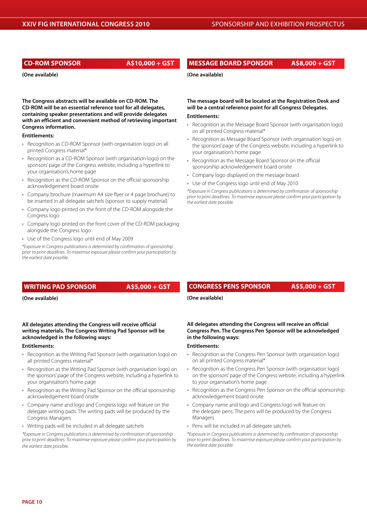**CD-ROM SPONSOR A\$10,000 + GST**

**(One available)**

**The Congress abstracts will be available on CD-ROM. The CD-ROM will be an essential reference tool for all delegates, containing speaker presentations and will provide delegates with an efficient and convenient method of retrieving important Congress information.** 

#### **Entitlements:**

- Recognition as CD-ROM Sponsor (with organisation logo) on all printed Congress material\*
- Recognition as a CD-ROM Sponsor (with organisation logo) on the sponsors' page of the Congress website, including a hyperlink to your organisation's home page
- Recognition as the CD-ROM Sponsor on the official sponsorship acknowledgement board onsite
- Company brochure (maximum A4 size flyer or 4 page brochure) to be inserted in all delegate satchels (sponsor to supply material)
- Company logo printed on the front of the CD-ROM alongside the Congress logo
- Company logo printed on the front cover of the CD-ROM packaging alongside the Congress logo
- Use of the Congress logo until end of May 2009

*\*Exposure in Congress publications is determined by confirmation of sponsorship prior to print deadlines. To maximise exposure please confirm your participation by the earliest date possible.*

#### **WRITING PAD SPONSOR A\$5,000 + GST**

**(One available)**

#### **All delegates attending the Congress will receive official writing materials. The Congress Writing Pad Sponsor will be acknowledged in the following ways:**

#### **Entitlements:**

- Recognition as the Writing Pad Sponsor (with organisation logo) on all printed Congress material\*
- Recognition as the Writing Pad Sponsor (with organisation logo) on the sponsors' page of the Congress website, including a hyperlink to your organisation's home page
- Recognition as the Writing Pad Sponsor on the official sponsorship acknowledgement board onsite
- Company name and logo and Congress logo will feature on the delegate writing pads. The writing pads will be produced by the Congress Managers
- Writing pads will be included in all delegate satchels

*\*Exposure in Congress publications is determined by confirmation of sponsorship prior to print deadlines. To maximise exposure please confirm your participation by the earliest date possible.*

**MESSAGE BOARD SPONSOR A\$8,000 + GST**

**(One available)**

**The message board will be located at the Registration Desk and will be a central reference point for all Congress Delegates.**

#### **Entitlements:**

- Recognition as the Message Board Sponsor (with organisation logo) on all printed Congress material\*
- Recognition as Message Board Sponsor (with organisation logo) on the sponsors' page of the Congress website, including a hyperlink to your organisation's home page
- Recognition as the Message Board Sponsor on the official sponsorship acknowledgement board onsite
- • Company logo displayed on the message board
- Use of the Congress logo until end of May 2010

*\*Exposure in Congress publications is determined by confirmation of sponsorship prior to print deadlines. To maximise exposure please confirm your participation by the earliest date possible.*

#### **CONGRESS PENS SPONSOR A\$5,000 + GST**

**(One available)**

**All delegates attending the Congress will receive an official Congress Pen. The Congress Pen Sponsor will be acknowledged in the following ways:**

#### **Entitlements:**

- Recognition as the Congress Pen Sponsor (with organisation logo) on all printed Congress material\*
- Recognition as the Congress Pen Sponsor (with organisation logo) on the sponsors' page of the Congress website, including a hyperlink to your organisation's home page
- Recognition as the Congress Pen Sponsor on the official sponsorship acknowledgement board onsite
- • Company name and logo and Congress logo will feature on the delegate pens. The pens will be produced by the Congress Managers
- Pens will be included in all delegate satchels

*\*Exposure in Congress publications is determined by confirmation of sponsorship prior to print deadlines. To maximise exposure please confirm your participation by the earliest date possible.*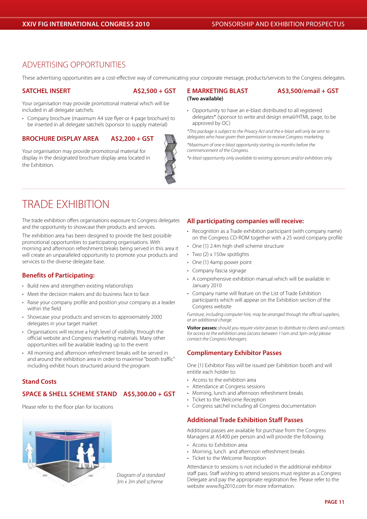# ADVERTISING OPPORTUNITIES

These advertising opportunities are a cost-effective way of communicating your corporate message, products/services to the Congress delegates.

**(Two available)**

#### **SATCHEL INSERT A\$2,500 + GST**

the Exhibition.

Your organisation may provide promotional material which will be included in all delegate satchels.

• Company brochure (maximum A4 size flyer or 4 page brochure) to be inserted in all delegate satchels (sponsor to supply material)

#### **BROCHURE DISPLAY AREA A\$2,200 + GST**

Your organisation may provide promotional material for display in the designated brochure display area located in

### **E MARKETING BLAST A\$3,500/email + GST**

• Opportunity to have an e-blast distributed to all registered delegates\* (sponsor to write and design email/HTML page, to be approved by OC)

*\*This package is subject to the Privacy Act and the e-blast will only be sent to delegates who have given their permission to receive Congress marketing.*

*\*Maximum of one e-blast opportunity starting six months before the commencement of the Congress.*

*\*e-blast opportunity only available to existing sponsors and/or exhibitors only.*

# TRADE EXHIBITION

The trade exhibition offers organisations exposure to Congress delegates and the opportunity to showcase their products and services.

The exhibition area has been designed to provide the best possible promotional opportunities to participating organisations. With morning and afternoon refreshment breaks being served in this area it will create an unparalleled opportunity to promote your products and services to the diverse delegate base.

### **Benefits of Participating:**

- Build new and strengthen existing relationships
- Meet the decision makers and do business face to face
- Raise your company profile and position your company as a leader within the field
- Showcase your products and services to approximately 2000 delegates in your target market
- Organisations will receive a high level of visibility through the official website and Congress marketing materials. Many other opportunities will be available leading up to the event
- All morning and afternoon refreshment breaks will be served in and around the exhibition area in order to maximise "booth traffic" including exhibit hours structured around the program

#### **Stand Costs**

#### **Space & Shell scheme stand A\$5,300.00 + GST**

Please refer to the floor plan for locations



*Diagram of a standard 3m x 3m shell scheme*

#### **All participating companies will receive:**

- Recognition as a Trade exhibition participant (with company name) on the Congress CD-ROM together with a 25 word company profile
- One (1) 2.4m high shell scheme structure
- Two (2) x 150w spotlights
- One (1) 4amp power point
- Company fascia signage
- A comprehensive exhibition manual which will be available in January 2010
- • Company name will feature on the List of Trade Exhibition participants which will appear on the Exhibition section of the Congress website

*Furniture, including computer hire, may be arranged through the official suppliers, at an additional charge.* 

**Visitor passes:** *should you require visitor passes to distribute to clients and contacts for access to the exhibition area (access between 11am and 3pm only) please contact the Congress Managers.*

#### **Complimentary Exhibitor Passes**

One (1) Exhibitor Pass will be issued per Exhibition booth and will entitle each holder to:

- • Access to the exhibition area
- Attendance at Congress sessions
- Morning, lunch and afternoon refreshment breaks
- Ticket to the Welcome Reception
- • Congress satchel including all Congress documentation

#### **Additional Trade Exhibition Staff Passes**

Additional passes are available for purchase from the Congress Managers at A\$400 per person and will provide the following:

- Access to Exhibition area
- Morning, lunch and afternoon refreshment breaks
- Ticket to the Welcome Reception

Attendance to sessions is not included in the additional exhibitor staff pass. Staff wishing to attend sessions must register as a Congress Delegate and pay the appropriate registration fee. Please refer to the website www.fig2010.com for more information.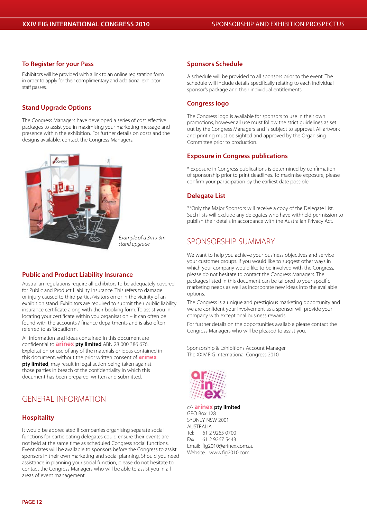#### **To Register for your Pass**

Exhibitors will be provided with a link to an online registration form in order to apply for their complimentary and additional exhibitor staff passes.

#### **Stand Upgrade Options**

The Congress Managers have developed a series of cost effective packages to assist you in maximising your marketing message and presence within the exhibition. For further details on costs and the designs available, contact the Congress Managers.



*Example of a 3m x 3m stand upgrade*

#### **Public and Product Liability Insurance**

Australian regulations require all exhibitors to be adequately covered for Public and Product Liability Insurance. This refers to damage or injury caused to third parties/visitors on or in the vicinity of an exhibition stand. Exhibitors are required to submit their public liability insurance certificate along with their booking form. To assist you in locating your certificate within you organisation – it can often be found with the accounts / finance departments and is also often referred to as'Broadform'.

All information and ideas contained in this document are confidential to **arinex pty limited** ABN 28 000 386 676. Exploitation or use of any of the materials or ideas contained in this document, without the prior written consent of **arinex pty limited**, may result in legal action being taken against those parties in breach of the confidentiality in which this document has been prepared, written and submitted.

# GENERAL INFORMATION

#### **Hospitality**

It would be appreciated if companies organising separate social functions for participating delegates could ensure their events are not held at the same time as scheduled Congress social functions. Event dates will be available to sponsors before the Congress to assist sponsors in their own marketing and social planning. Should you need assistance in planning your social function, please do not hesitate to contact the Congress Managers who will be able to assist you in all areas of event management.

#### **Sponsors Schedule**

A schedule will be provided to all sponsors prior to the event. The schedule will include details specifically relating to each individual sponsor's package and their individual entitlements.

#### **Congress logo**

The Congress logo is available for sponsors to use in their own promotions, however all use must follow the strict guidelines as set out by the Congress Managers and is subject to approval. All artwork and printing must be sighted and approved by the Organising Committee prior to production.

#### **Exposure in Congress publications**

\* Exposure in Congress publications is determined by confirmation of sponsorship prior to print deadlines. To maximise exposure, please confirm your participation by the earliest date possible.

#### **Delegate List**

\*\*Only the Major Sponsors will receive a copy of the Delegate List. Such lists will exclude any delegates who have withheld permission to publish their details in accordance with the Australian Privacy Act.

# SPONSORSHIP SUMMARY

We want to help you achieve your business objectives and service your customer groups. If you would like to suggest other ways in which your company would like to be involved with the Congress, please do not hesitate to contact the Congress Managers. The packages listed in this document can be tailored to your specific marketing needs as well as incorporate new ideas into the available options.

The Congress is a unique and prestigious marketing opportunity and we are confident your involvement as a sponsor will provide your company with exceptional business rewards.

For further details on the opportunities available please contact the Congress Managers who will be pleased to assist you.

Sponsorship & Exhibitions Account Manager The XXIV FIG International Congress 2010



c/- **arinex pty limited**

GPO Box 128 SYDNEY NSW 2001 AUSTRALIA Tel: 61 2 9265 0700 Fax: 61 2 9267 5443 Email: fig2010@arinex.com.au Website: www.fig2010.com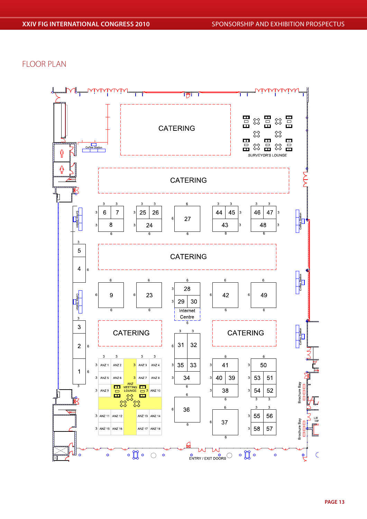FLOOR PLAN

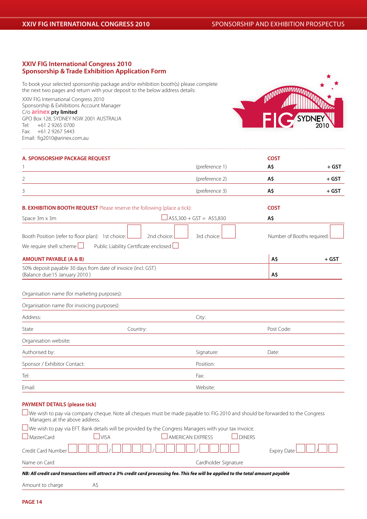#### **XXIV FIG International Congress 2010 Sponsorship & Trade Exhibition Application Form**

To book your selected sponsorship package and/or exhibition booth(s) please complete the next two pages and return with your deposit to the below address details:

XXIV FIG International Congress 2010 Sponsorship & Exhibitions Account Manager C/o **arinex pty limited** GPO Box 128, SYDNEY NSW 2001 AUSTRALIA Tel: +61 2 9265 0700 Fax: +61 2 9267 5443 Email: fig2010@arinex.com.au



| A. SPONSORSHIP PACKAGE REQUEST                                                                |                                                      |                                       | <b>COST</b>                |         |
|-----------------------------------------------------------------------------------------------|------------------------------------------------------|---------------------------------------|----------------------------|---------|
|                                                                                               |                                                      | (preference 1)                        | A\$                        | $+$ GST |
| 2                                                                                             |                                                      | (preference 2)                        | A\$                        | $+$ GST |
| 3                                                                                             |                                                      | (preference 3)                        | A\$                        | $+$ GST |
| <b>B. EXHIBITION BOOTH REQUEST</b> Please reserve the following (place a tick):               |                                                      |                                       | <b>COST</b>                |         |
| Space 3m x 3m                                                                                 |                                                      | $\triangle$ A\$5,300 + GST = A\$5,830 | A\$                        |         |
| Booth Position (refer to floor plan): 1st choice:<br>We require shell scheme $\Box$           | 2nd choice:<br>Public Liability Certificate enclosed | 3rd choice:                           | Number of Booths required: |         |
| <b>AMOUNT PAYABLE (A &amp; B)</b>                                                             |                                                      |                                       | A\$                        | $+$ GST |
| 50% deposit payable 30 days from date of invoice (incl. GST)<br>(Balance due:15 January 2010) |                                                      |                                       | A\$                        |         |
| Organisation name (for marketing purposes):                                                   |                                                      |                                       |                            |         |
| Organisation name (for invoicing purposes):                                                   |                                                      |                                       |                            |         |
| Address:                                                                                      |                                                      | City:                                 |                            |         |
| State                                                                                         | Country:                                             |                                       | Post Code:                 |         |
| Organisation website:                                                                         |                                                      |                                       |                            |         |
| Authorised by:                                                                                |                                                      | Signature:                            | Date:                      |         |
| Sponsor / Exhibitor Contact:                                                                  |                                                      | Position:                             |                            |         |
|                                                                                               |                                                      |                                       |                            |         |
| Tel:                                                                                          |                                                      | Fax:                                  |                            |         |

#### **PAYMENT DETAILS (please tick)**

We wish to pay via company cheque. Note all cheques must be made payable to: FIG 2010 and should be forwarded to the Congress Managers at the above address.  $\square$  We wish to pay via EFT. Bank details will be provided by the Congress Managers with your tax invoice.

| $\Box$ MasterCard | <b>VISA</b> | <sup>1</sup> JAMERICAN EXPRESS                                                                                                      | <b>DINFRS</b> |                        |
|-------------------|-------------|-------------------------------------------------------------------------------------------------------------------------------------|---------------|------------------------|
|                   |             |                                                                                                                                     |               | Expiry Date $\Box\Box$ |
| Name on Card      |             | Cardholder Signature                                                                                                                |               |                        |
|                   |             | NB: All credit card transactions will attract a 3% credit card processing fee. This fee will be applied to the total amount payable |               |                        |

| Amount to charge | A\$ |  |
|------------------|-----|--|
|                  |     |  |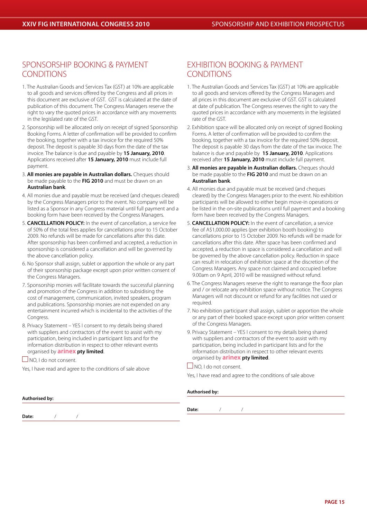# SPONSORSHIP BOOKING & PAYMENT CONDITIONS

- 1. The Australian Goods and Services Tax (GST) at 10% are applicable to all goods and services offered by the Congress and all prices in this document are exclusive of GST. GST is calculated at the date of publication of this document. The Congress Managers reserve the right to vary the quoted prices in accordance with any movements in the legislated rate of the GST.
- 2. Sponsorship will be allocated only on receipt of signed Sponsorship Booking Forms. A letter of confirmation will be provided to confirm the booking, together with a tax invoice for the required 50% deposit. The deposit is payable 30 days from the date of the tax invoice. The balance is due and payable by **15 January, 2010**. Applications received after **15 January, 2010** must include full payment.
- 3. **All monies are payable in Australian dollars.** Cheques should be made payable to the **FIG 2010** and must be drawn on an **Australian bank**.
- 4. All monies due and payable must be received (and cheques cleared) by the Congress Managers prior to the event. No company will be listed as a Sponsor in any Congress material until full payment and a booking form have been received by the Congress Managers.
- 5. **CANCELLATION POLICY:** In the event of cancellation, a service fee of 50% of the total fees applies for cancellations prior to 15 October 2009. No refunds will be made for cancellations after this date. After sponsorship has been confirmed and accepted, a reduction in sponsorship is considered a cancellation and will be governed by the above cancellation policy.
- 6. No Sponsor shall assign, sublet or apportion the whole or any part of their sponsorship package except upon prior written consent of the Congress Managers.
- 7. Sponsorship monies will facilitate towards the successful planning and promotion of the Congress in addition to subsidising the cost of management, communication, invited speakers, program and publications. Sponsorship monies are not expended on any entertainment incurred which is incidental to the activities of the Congress.
- 8. Privacy Statement YES I consent to my details being shared with suppliers and contractors of the event to assist with my participation, being included in participant lists and for the information distribution in respect to other relevant events organised by **arinex pty limited**.

 $\Box$  NO, I do not consent.

Yes, I have read and agree to the conditions of sale above

# EXHIBITION BOOKING & PAYMENT CONDITIONS

- 1. The Australian Goods and Services Tax (GST) at 10% are applicable to all goods and services offered by the Congress Managers and all prices in this document are exclusive of GST. GST is calculated at date of publication. The Congress reserves the right to vary the quoted prices in accordance with any movements in the legislated rate of the GST.
- 2. Exhibition space will be allocated only on receipt of signed Booking Forms. A letter of confirmation will be provided to confirm the booking, together with a tax invoice for the required 50% deposit. The deposit is payable 30 days from the date of the tax invoice. The balance is due and payable by **15 January, 2010**. Applications received after **15 January, 2010** must include full payment.
- 3. **All monies are payable in Australian dollars.** Cheques should be made payable to the **FIG 2010** and must be drawn on an **Australian bank**.
- 4. All monies due and payable must be received (and cheques cleared) by the Congress Managers prior to the event. No exhibition participants will be allowed to either begin move-in operations or be listed in the on-site publications until full payment and a booking form have been received by the Congress Managers.
- 5. **CANCELLATION POLICY:** In the event of cancellation, a service fee of A\$1,000.00 applies (per exhibition booth booking) to cancellations prior to 15 October 2009. No refunds will be made for cancellations after this date. After space has been confirmed and accepted, a reduction in space is considered a cancellation and will be governed by the above cancellation policy. Reduction in space can result in relocation of exhibition space at the discretion of the Congress Managers. Any space not claimed and occupied before 9.00am on 9 April, 2010 will be reassigned without refund.
- 6. The Congress Managers reserve the right to rearrange the floor plan and / or relocate any exhibition space without notice. The Congress Managers will not discount or refund for any facilities not used or required.
- 7. No exhibition participant shall assign, sublet or apportion the whole or any part of their booked space except upon prior written consent of the Congress Managers.
- 9. Privacy Statement YES I consent to my details being shared with suppliers and contractors of the event to assist with my participation, being included in participant lists and for the information distribution in respect to other relevant events organised by **arinex pty limited**.

#### NO, I do not consent.

Yes, I have read and agree to the conditions of sale above

#### **Authorised by:**

**Authorised by: Date:** / /

**Date:** / /